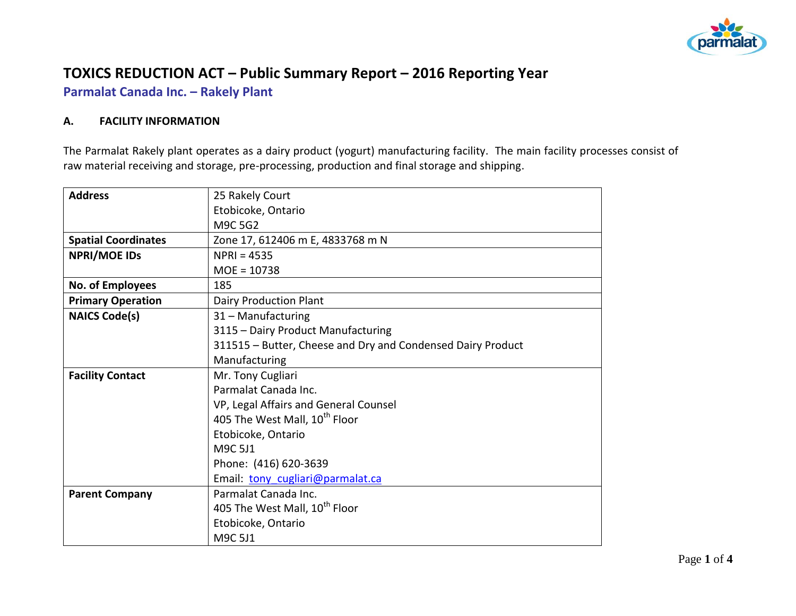

# **TOXICS REDUCTION ACT – Public Summary Report – 2016 Reporting Year**

**Parmalat Canada Inc. – Rakely Plant**

### **A. FACILITY INFORMATION**

The Parmalat Rakely plant operates as a dairy product (yogurt) manufacturing facility. The main facility processes consist of raw material receiving and storage, pre-processing, production and final storage and shipping.

| <b>Address</b>             | 25 Rakely Court                                             |  |  |  |  |
|----------------------------|-------------------------------------------------------------|--|--|--|--|
|                            | Etobicoke, Ontario                                          |  |  |  |  |
|                            | M9C 5G2                                                     |  |  |  |  |
| <b>Spatial Coordinates</b> | Zone 17, 612406 m E, 4833768 m N                            |  |  |  |  |
| <b>NPRI/MOE IDS</b>        | $NPRI = 4535$                                               |  |  |  |  |
|                            | $MOE = 10738$                                               |  |  |  |  |
| No. of Employees           | 185                                                         |  |  |  |  |
| <b>Primary Operation</b>   | <b>Dairy Production Plant</b>                               |  |  |  |  |
| <b>NAICS Code(s)</b>       | 31 - Manufacturing                                          |  |  |  |  |
|                            | 3115 - Dairy Product Manufacturing                          |  |  |  |  |
|                            | 311515 - Butter, Cheese and Dry and Condensed Dairy Product |  |  |  |  |
|                            | Manufacturing                                               |  |  |  |  |
| <b>Facility Contact</b>    | Mr. Tony Cugliari                                           |  |  |  |  |
|                            | Parmalat Canada Inc.                                        |  |  |  |  |
|                            | VP, Legal Affairs and General Counsel                       |  |  |  |  |
|                            | 405 The West Mall, 10 <sup>th</sup> Floor                   |  |  |  |  |
|                            | Etobicoke, Ontario                                          |  |  |  |  |
|                            | M9C 5J1                                                     |  |  |  |  |
|                            | Phone: (416) 620-3639                                       |  |  |  |  |
|                            | Email: tony cugliari@parmalat.ca                            |  |  |  |  |
| <b>Parent Company</b>      | Parmalat Canada Inc.                                        |  |  |  |  |
|                            | 405 The West Mall, 10 <sup>th</sup> Floor                   |  |  |  |  |
|                            | Etobicoke, Ontario                                          |  |  |  |  |
|                            | M9C 5J1                                                     |  |  |  |  |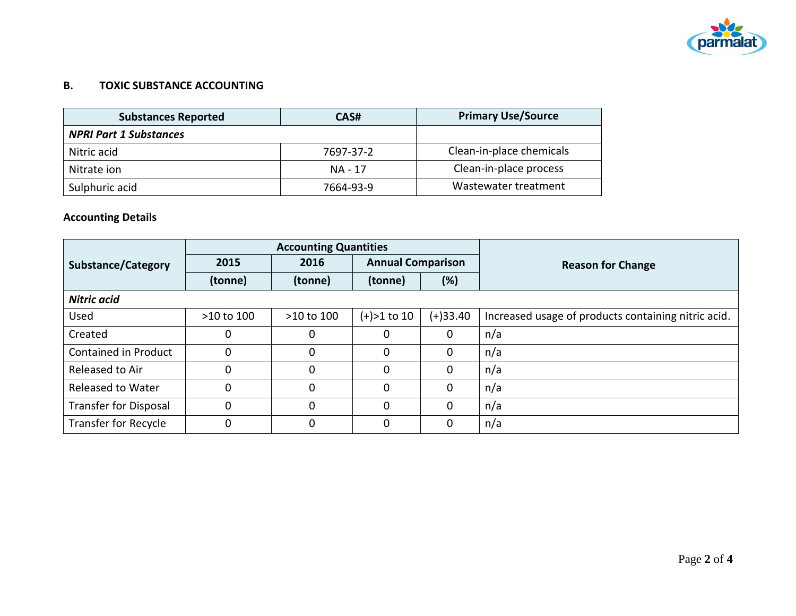

### **B. TOXIC SUBSTANCE ACCOUNTING**

| <b>Substances Reported</b>    | CAS#      | <b>Primary Use/Source</b> |
|-------------------------------|-----------|---------------------------|
| <b>NPRI Part 1 Substances</b> |           |                           |
| Nitric acid                   | 7697-37-2 | Clean-in-place chemicals  |
| Nitrate ion                   | NA - 17   | Clean-in-place process    |
| Sulphuric acid                | 7664-93-9 | Wastewater treatment      |

## **Accounting Details**

|                              | <b>Accounting Quantities</b> |            |                          |             |                                                     |
|------------------------------|------------------------------|------------|--------------------------|-------------|-----------------------------------------------------|
| <b>Substance/Category</b>    | 2015                         | 2016       | <b>Annual Comparison</b> |             | <b>Reason for Change</b>                            |
|                              | (tonne)                      | (tonne)    | (tonne)                  | (%)         |                                                     |
| Nitric acid                  |                              |            |                          |             |                                                     |
| <b>Used</b>                  | >10 to 100                   | >10 to 100 | $(+) > 1$ to 10          | $(+)33.40$  | Increased usage of products containing nitric acid. |
| Created                      | 0                            | 0          | $\mathbf{0}$             | 0           | n/a                                                 |
| Contained in Product         | $\mathbf 0$                  | 0          | $\mathbf 0$              | 0           | n/a                                                 |
| Released to Air              | $\mathbf 0$                  | 0          | $\Omega$                 | 0           | n/a                                                 |
| Released to Water            | $\Omega$                     | $\Omega$   | $\Omega$                 | 0           | n/a                                                 |
| <b>Transfer for Disposal</b> | $\mathbf 0$                  | 0          | $\Omega$                 | $\mathbf 0$ | n/a                                                 |
| <b>Transfer for Recycle</b>  | $\mathbf 0$                  | 0          | $\mathbf 0$              | 0           | n/a                                                 |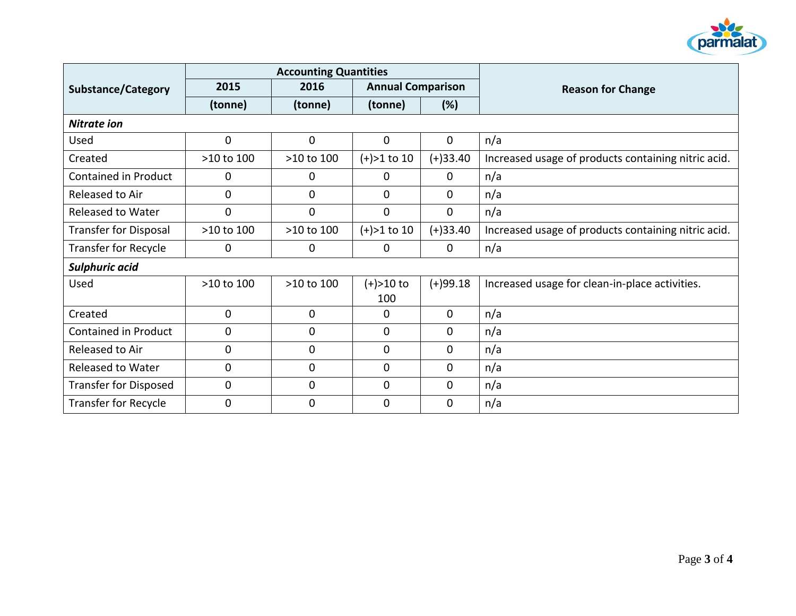

|                              | <b>Accounting Quantities</b> |                |                          |                |                                                     |
|------------------------------|------------------------------|----------------|--------------------------|----------------|-----------------------------------------------------|
| <b>Substance/Category</b>    | 2015                         | 2016           | <b>Annual Comparison</b> |                | <b>Reason for Change</b>                            |
|                              | (tonne)                      | (tonne)        | (tonne)                  | (%)            |                                                     |
| <b>Nitrate ion</b>           |                              |                |                          |                |                                                     |
| Used                         | $\mathbf 0$                  | $\mathbf 0$    | $\mathbf 0$              | $\mathbf 0$    | n/a                                                 |
| Created                      | >10 to 100                   | >10 to 100     | $(+) > 1$ to 10          | $(+)33.40$     | Increased usage of products containing nitric acid. |
| Contained in Product         | 0                            | 0              | $\mathbf{0}$             | $\mathbf{0}$   | n/a                                                 |
| Released to Air              | $\mathbf 0$                  | $\mathbf{0}$   | $\mathbf{0}$             | 0              | n/a                                                 |
| <b>Released to Water</b>     | $\mathbf 0$                  | $\mathbf 0$    | $\mathbf{0}$             | $\overline{0}$ | n/a                                                 |
| <b>Transfer for Disposal</b> | >10 to 100                   | >10 to 100     | $(+) > 1$ to 10          | $(+)33.40$     | Increased usage of products containing nitric acid. |
| <b>Transfer for Recycle</b>  | 0                            | 0              | $\mathbf 0$              | $\mathbf 0$    | n/a                                                 |
| <b>Sulphuric acid</b>        |                              |                |                          |                |                                                     |
| Used                         | >10 to 100                   | >10 to 100     | $(+) > 10$ to            | $(+)99.18$     | Increased usage for clean-in-place activities.      |
|                              |                              |                | 100                      |                |                                                     |
| Created                      | $\mathbf 0$                  | $\mathbf 0$    | $\mathbf{0}$             | $\mathbf{0}$   | n/a                                                 |
| <b>Contained in Product</b>  | $\mathbf 0$                  | $\mathbf 0$    | $\mathbf 0$              | 0              | n/a                                                 |
| Released to Air              | $\mathbf 0$                  | 0              | $\mathbf{0}$             | 0              | n/a                                                 |
| <b>Released to Water</b>     | $\mathbf 0$                  | $\mathbf 0$    | $\mathbf{0}$             | 0              | n/a                                                 |
| <b>Transfer for Disposed</b> | $\mathbf 0$                  | $\mathbf 0$    | $\mathbf 0$              | $\mathbf{0}$   | n/a                                                 |
| <b>Transfer for Recycle</b>  | $\overline{0}$               | $\overline{0}$ | $\mathbf 0$              | $\mathbf{0}$   | n/a                                                 |